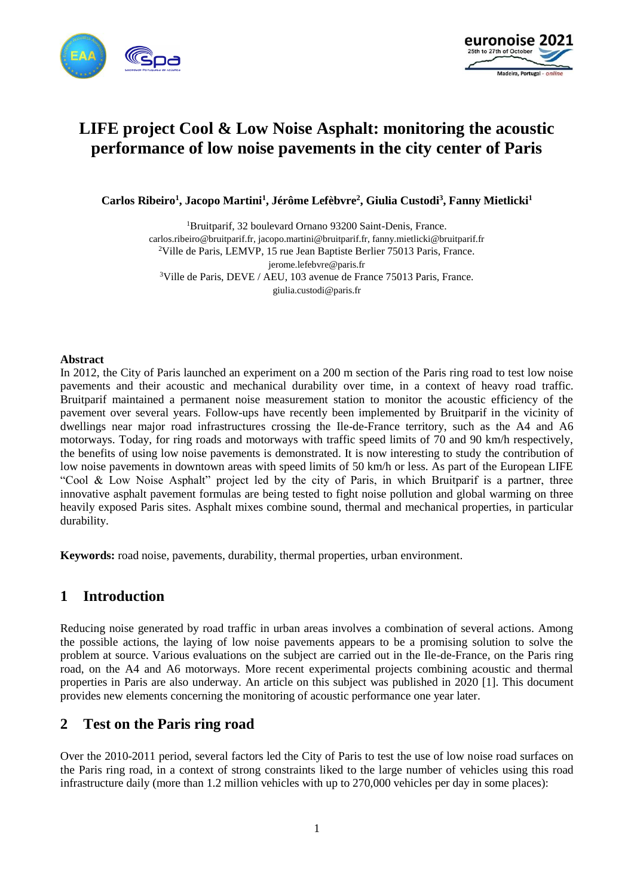



# **LIFE project Cool & Low Noise Asphalt: monitoring the acoustic performance of low noise pavements in the city center of Paris**

**Carlos Ribeiro<sup>1</sup> , Jacopo Martini<sup>1</sup> , Jérôme Lefèbvre<sup>2</sup> , Giulia Custodi<sup>3</sup> , Fanny Mietlicki<sup>1</sup>**

<sup>1</sup>Bruitparif, 32 boulevard Ornano 93200 Saint-Denis, France. carlos.ribeiro@bruitparif.fr, jacopo.martini@bruitparif.fr, fanny.mietlicki@bruitparif.fr <sup>2</sup>Ville de Paris, LEMVP, 15 rue Jean Baptiste Berlier 75013 Paris, France. jerome.lefebvre@paris.fr <sup>3</sup>Ville de Paris, DEVE / AEU, 103 avenue de France 75013 Paris, France. giulia.custodi@paris.fr

### **Abstract**

In 2012, the City of Paris launched an experiment on a 200 m section of the Paris ring road to test low noise pavements and their acoustic and mechanical durability over time, in a context of heavy road traffic. Bruitparif maintained a permanent noise measurement station to monitor the acoustic efficiency of the pavement over several years. Follow-ups have recently been implemented by Bruitparif in the vicinity of dwellings near major road infrastructures crossing the Ile-de-France territory, such as the A4 and A6 motorways. Today, for ring roads and motorways with traffic speed limits of 70 and 90 km/h respectively, the benefits of using low noise pavements is demonstrated. It is now interesting to study the contribution of low noise pavements in downtown areas with speed limits of 50 km/h or less. As part of the European LIFE "Cool & Low Noise Asphalt" project led by the city of Paris, in which Bruitparif is a partner, three innovative asphalt pavement formulas are being tested to fight noise pollution and global warming on three heavily exposed Paris sites. Asphalt mixes combine sound, thermal and mechanical properties, in particular durability.

**Keywords:** road noise, pavements, durability, thermal properties, urban environment.

## **1 Introduction**

Reducing noise generated by road traffic in urban areas involves a combination of several actions. Among the possible actions, the laying of low noise pavements appears to be a promising solution to solve the problem at source. Various evaluations on the subject are carried out in the Ile-de-France, on the Paris ring road, on the A4 and A6 motorways. More recent experimental projects combining acoustic and thermal properties in Paris are also underway. An article on this subject was published in 2020 [1]. This document provides new elements concerning the monitoring of acoustic performance one year later.

## **2 Test on the Paris ring road**

Over the 2010-2011 period, several factors led the City of Paris to test the use of low noise road surfaces on the Paris ring road, in a context of strong constraints liked to the large number of vehicles using this road infrastructure daily (more than 1.2 million vehicles with up to 270,000 vehicles per day in some places):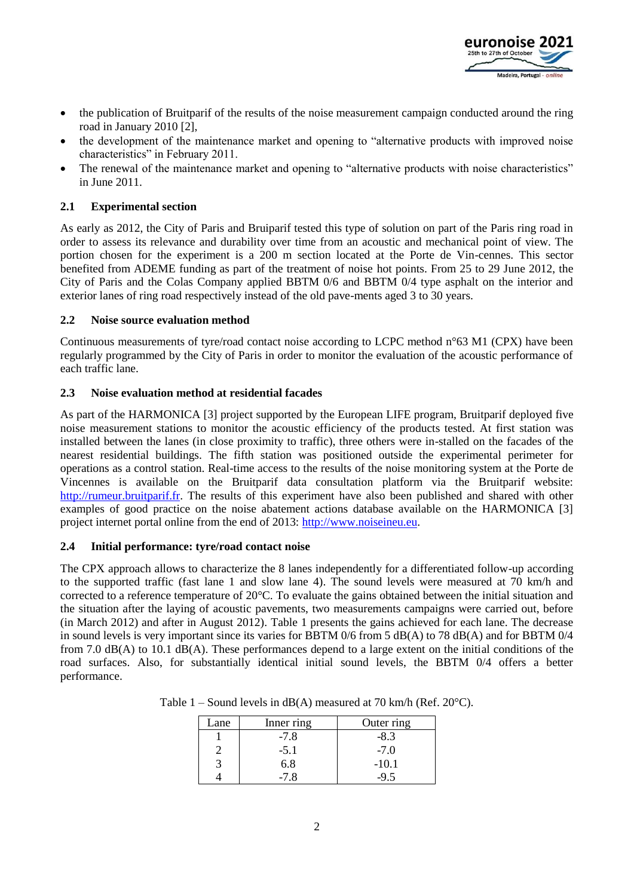

- the publication of Bruitparif of the results of the noise measurement campaign conducted around the ring road in January 2010 [2],
- the development of the maintenance market and opening to "alternative products with improved noise characteristics" in February 2011.
- The renewal of the maintenance market and opening to "alternative products with noise characteristics" in June 2011.

### **2.1 Experimental section**

As early as 2012, the City of Paris and Bruiparif tested this type of solution on part of the Paris ring road in order to assess its relevance and durability over time from an acoustic and mechanical point of view. The portion chosen for the experiment is a 200 m section located at the Porte de Vin-cennes. This sector benefited from ADEME funding as part of the treatment of noise hot points. From 25 to 29 June 2012, the City of Paris and the Colas Company applied BBTM 0/6 and BBTM 0/4 type asphalt on the interior and exterior lanes of ring road respectively instead of the old pave-ments aged 3 to 30 years.

### **2.2 Noise source evaluation method**

Continuous measurements of tyre/road contact noise according to LCPC method n°63 M1 (CPX) have been regularly programmed by the City of Paris in order to monitor the evaluation of the acoustic performance of each traffic lane.

### **2.3 Noise evaluation method at residential facades**

As part of the HARMONICA [3] project supported by the European LIFE program, Bruitparif deployed five noise measurement stations to monitor the acoustic efficiency of the products tested. At first station was installed between the lanes (in close proximity to traffic), three others were in-stalled on the facades of the nearest residential buildings. The fifth station was positioned outside the experimental perimeter for operations as a control station. Real-time access to the results of the noise monitoring system at the Porte de Vincennes is available on the Bruitparif data consultation platform via the Bruitparif website: [http://rumeur.bruitparif.fr.](http://rumeur.bruitparif.fr/) The results of this experiment have also been published and shared with other examples of good practice on the noise abatement actions database available on the HARMONICA [3] project internet portal online from the end of 2013: [http://www.noiseineu.eu.](http://www.noiseineu.eu/)

### **2.4 Initial performance: tyre/road contact noise**

The CPX approach allows to characterize the 8 lanes independently for a differentiated follow-up according to the supported traffic (fast lane 1 and slow lane 4). The sound levels were measured at 70 km/h and corrected to a reference temperature of 20°C. To evaluate the gains obtained between the initial situation and the situation after the laying of acoustic pavements, two measurements campaigns were carried out, before (in March 2012) and after in August 2012). Table 1 presents the gains achieved for each lane. The decrease in sound levels is very important since its varies for BBTM 0/6 from 5 dB(A) to 78 dB(A) and for BBTM 0/4 from 7.0 dB(A) to 10.1 dB(A). These performances depend to a large extent on the initial conditions of the road surfaces. Also, for substantially identical initial sound levels, the BBTM 0/4 offers a better performance.

| Lane | Inner ring | Outer ring |
|------|------------|------------|
|      | $-7.8$     | $-8.3$     |
|      | $-5.1$     | $-7.0$     |
|      | 6.8        | $-10.1$    |
|      | -7 8       |            |

Table  $1 -$  Sound levels in dB(A) measured at 70 km/h (Ref. 20 $^{\circ}$ C).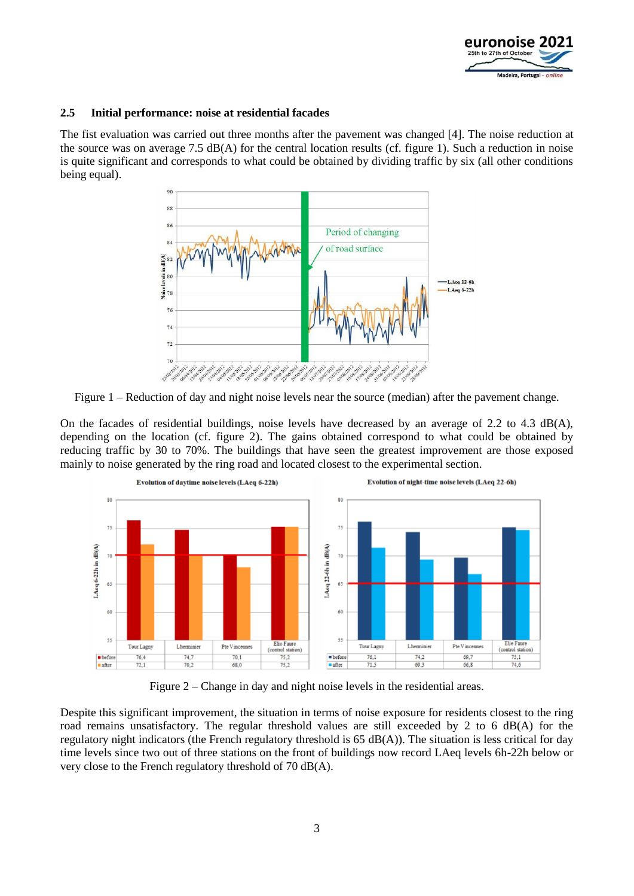

### **2.5 Initial performance: noise at residential facades**

The fist evaluation was carried out three months after the pavement was changed [4]. The noise reduction at the source was on average 7.5  $dB(A)$  for the central location results (cf. figure 1). Such a reduction in noise is quite significant and corresponds to what could be obtained by dividing traffic by six (all other conditions being equal).



Figure 1 – Reduction of day and night noise levels near the source (median) after the pavement change.

On the facades of residential buildings, noise levels have decreased by an average of 2.2 to 4.3 dB(A), depending on the location (cf. figure 2). The gains obtained correspond to what could be obtained by reducing traffic by 30 to 70%. The buildings that have seen the greatest improvement are those exposed mainly to noise generated by the ring road and located closest to the experimental section.



Figure 2 – Change in day and night noise levels in the residential areas.

Despite this significant improvement, the situation in terms of noise exposure for residents closest to the ring road remains unsatisfactory. The regular threshold values are still exceeded by 2 to 6 dB(A) for the regulatory night indicators (the French regulatory threshold is  $65 \text{ dB}(A)$ ). The situation is less critical for day time levels since two out of three stations on the front of buildings now record LAeq levels 6h-22h below or very close to the French regulatory threshold of 70 dB(A).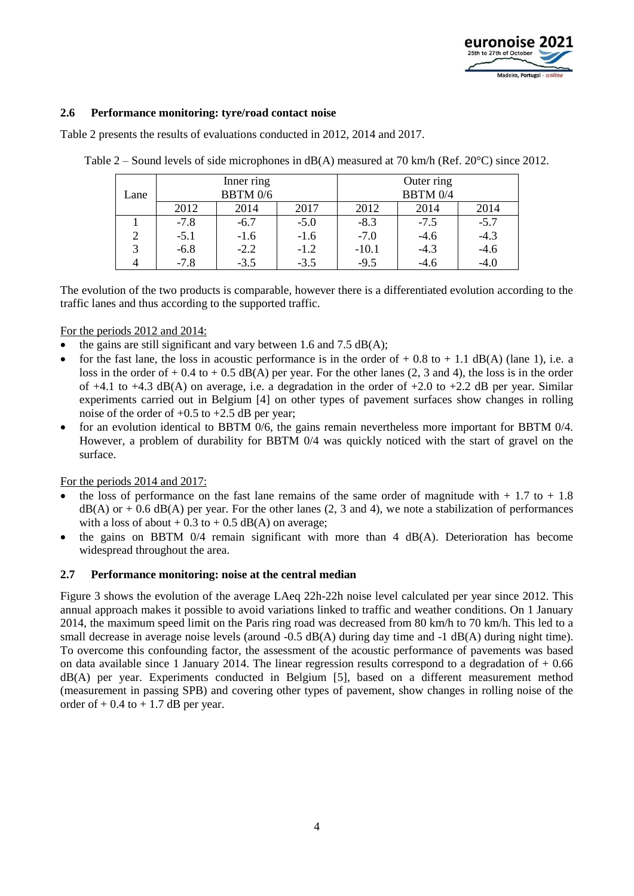

### **2.6 Performance monitoring: tyre/road contact noise**

Table 2 presents the results of evaluations conducted in 2012, 2014 and 2017.

|                |          | Inner ring |        | Outer ring      |        |        |  |
|----------------|----------|------------|--------|-----------------|--------|--------|--|
| Lane           | BBTM 0/6 |            |        | <b>BBTM 0/4</b> |        |        |  |
|                | 2012     | 2014       | 2017   | 2012            | 2014   | 2014   |  |
|                | $-7.8$   | $-6.7$     | $-5.0$ | $-8.3$          | $-7.5$ | $-5.7$ |  |
| $\overline{2}$ | $-5.1$   | $-1.6$     | $-1.6$ | $-7.0$          | $-4.6$ | $-4.3$ |  |
| 3              | $-6.8$   | $-2.2$     | $-1.2$ | $-10.1$         | $-4.3$ | $-4.6$ |  |
|                | $-7.8$   | $-3.5$     | $-3.5$ | $-9.5$          | $-4.6$ | $-4.0$ |  |

Table 2 – Sound levels of side microphones in dB(A) measured at 70 km/h (Ref. 20°C) since 2012.

The evolution of the two products is comparable, however there is a differentiated evolution according to the traffic lanes and thus according to the supported traffic.

For the periods 2012 and 2014:

- $\bullet$  the gains are still significant and vary between 1.6 and 7.5 dB(A);
- for the fast lane, the loss in acoustic performance is in the order of  $+$  0.8 to  $+$  1.1 dB(A) (lane 1), i.e. a loss in the order of  $+$  0.4 to  $+$  0.5 dB(A) per year. For the other lanes (2, 3 and 4), the loss is in the order of  $+4.1$  to  $+4.3$  dB(A) on average, i.e. a degradation in the order of  $+2.0$  to  $+2.2$  dB per year. Similar experiments carried out in Belgium [4] on other types of pavement surfaces show changes in rolling noise of the order of  $+0.5$  to  $+2.5$  dB per year;
- for an evolution identical to BBTM 0/6, the gains remain nevertheless more important for BBTM 0/4. However, a problem of durability for BBTM 0/4 was quickly noticed with the start of gravel on the surface.

For the periods 2014 and 2017:

- the loss of performance on the fast lane remains of the same order of magnitude with  $+1.7$  to  $+1.8$  $dB(A)$  or  $+$  0.6 dB(A) per year. For the other lanes (2, 3 and 4), we note a stabilization of performances with a loss of about  $+ 0.3$  to  $+ 0.5$  dB(A) on average;
- the gains on BBTM 0/4 remain significant with more than 4 dB(A). Deterioration has become widespread throughout the area.

#### **2.7 Performance monitoring: noise at the central median**

Figure 3 shows the evolution of the average LAeq 22h-22h noise level calculated per year since 2012. This annual approach makes it possible to avoid variations linked to traffic and weather conditions. On 1 January 2014, the maximum speed limit on the Paris ring road was decreased from 80 km/h to 70 km/h. This led to a small decrease in average noise levels (around -0.5 dB(A) during day time and -1 dB(A) during night time). To overcome this confounding factor, the assessment of the acoustic performance of pavements was based on data available since 1 January 2014. The linear regression results correspond to a degradation of  $+0.66$ dB(A) per year. Experiments conducted in Belgium [5], based on a different measurement method (measurement in passing SPB) and covering other types of pavement, show changes in rolling noise of the order of  $+$  0.4 to  $+$  1.7 dB per year.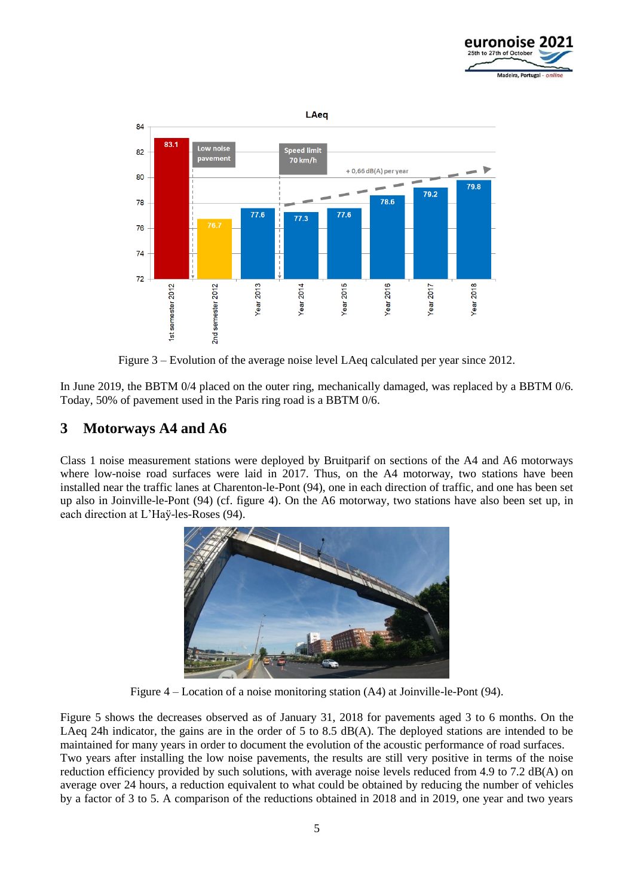



Figure 3 – Evolution of the average noise level LAeq calculated per year since 2012.

In June 2019, the BBTM 0/4 placed on the outer ring, mechanically damaged, was replaced by a BBTM 0/6. Today, 50% of pavement used in the Paris ring road is a BBTM 0/6.

## **3 Motorways A4 and A6**

Class 1 noise measurement stations were deployed by Bruitparif on sections of the A4 and A6 motorways where low-noise road surfaces were laid in 2017. Thus, on the A4 motorway, two stations have been installed near the traffic lanes at Charenton-le-Pont (94), one in each direction of traffic, and one has been set up also in Joinville-le-Pont (94) (cf. figure 4). On the A6 motorway, two stations have also been set up, in each direction at L'Haÿ-les-Roses (94).



Figure 4 – Location of a noise monitoring station (A4) at Joinville-le-Pont (94).

Figure 5 shows the decreases observed as of January 31, 2018 for pavements aged 3 to 6 months. On the LAeq 24h indicator, the gains are in the order of 5 to 8.5 dB(A). The deployed stations are intended to be maintained for many years in order to document the evolution of the acoustic performance of road surfaces. Two years after installing the low noise pavements, the results are still very positive in terms of the noise reduction efficiency provided by such solutions, with average noise levels reduced from 4.9 to 7.2 dB(A) on average over 24 hours, a reduction equivalent to what could be obtained by reducing the number of vehicles by a factor of 3 to 5. A comparison of the reductions obtained in 2018 and in 2019, one year and two years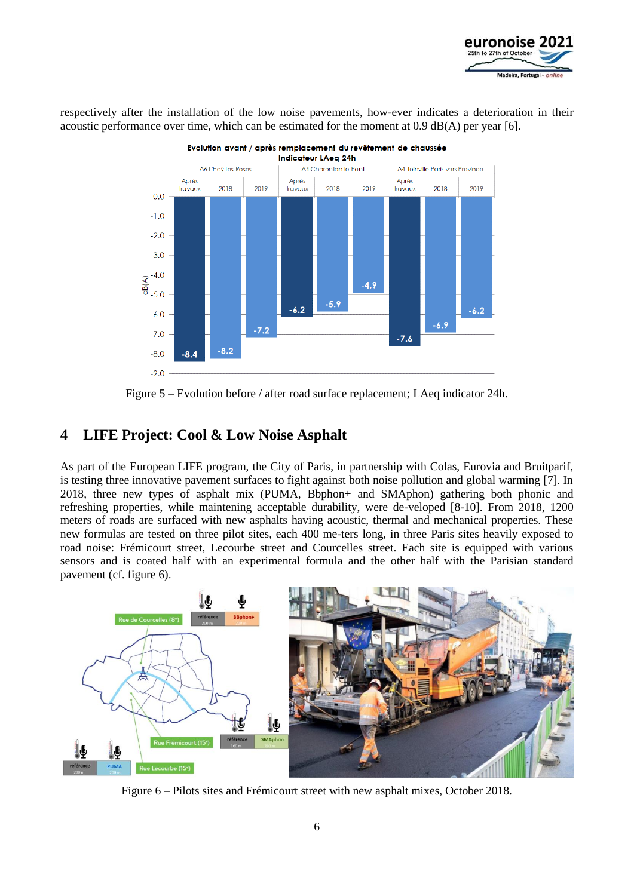

respectively after the installation of the low noise pavements, how-ever indicates a deterioration in their acoustic performance over time, which can be estimated for the moment at  $0.9 \text{ dB}(A)$  per year [6].



Figure 5 – Evolution before / after road surface replacement; LAeq indicator 24h.

## **4 LIFE Project: Cool & Low Noise Asphalt**

As part of the European LIFE program, the City of Paris, in partnership with Colas, Eurovia and Bruitparif, is testing three innovative pavement surfaces to fight against both noise pollution and global warming [7]. In 2018, three new types of asphalt mix (PUMA, Bbphon+ and SMAphon) gathering both phonic and refreshing properties, while maintening acceptable durability, were de-veloped [8-10]. From 2018, 1200 meters of roads are surfaced with new asphalts having acoustic, thermal and mechanical properties. These new formulas are tested on three pilot sites, each 400 me-ters long, in three Paris sites heavily exposed to road noise: Frémicourt street, Lecourbe street and Courcelles street. Each site is equipped with various sensors and is coated half with an experimental formula and the other half with the Parisian standard pavement (cf. figure 6).



Figure 6 – Pilots sites and Frémicourt street with new asphalt mixes, October 2018.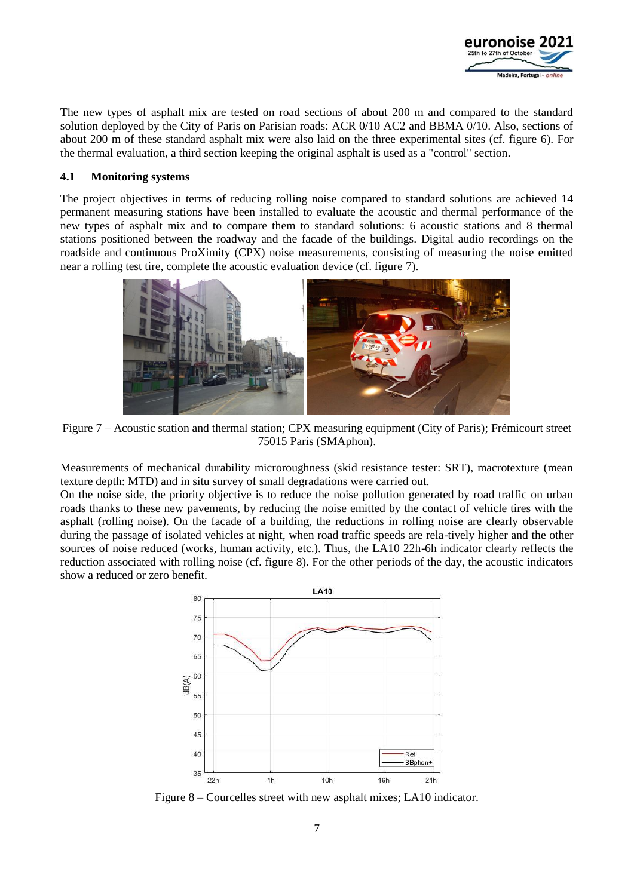

The new types of asphalt mix are tested on road sections of about 200 m and compared to the standard solution deployed by the City of Paris on Parisian roads: ACR 0/10 AC2 and BBMA 0/10. Also, sections of about 200 m of these standard asphalt mix were also laid on the three experimental sites (cf. figure 6). For the thermal evaluation, a third section keeping the original asphalt is used as a "control" section.

### **4.1 Monitoring systems**

The project objectives in terms of reducing rolling noise compared to standard solutions are achieved 14 permanent measuring stations have been installed to evaluate the acoustic and thermal performance of the new types of asphalt mix and to compare them to standard solutions: 6 acoustic stations and 8 thermal stations positioned between the roadway and the facade of the buildings. Digital audio recordings on the roadside and continuous ProXimity (CPX) noise measurements, consisting of measuring the noise emitted near a rolling test tire, complete the acoustic evaluation device (cf. figure 7).



Figure 7 – Acoustic station and thermal station; CPX measuring equipment (City of Paris); Frémicourt street 75015 Paris (SMAphon).

Measurements of mechanical durability microroughness (skid resistance tester: SRT), macrotexture (mean texture depth: MTD) and in situ survey of small degradations were carried out.

On the noise side, the priority objective is to reduce the noise pollution generated by road traffic on urban roads thanks to these new pavements, by reducing the noise emitted by the contact of vehicle tires with the asphalt (rolling noise). On the facade of a building, the reductions in rolling noise are clearly observable during the passage of isolated vehicles at night, when road traffic speeds are rela-tively higher and the other sources of noise reduced (works, human activity, etc.). Thus, the LA10 22h-6h indicator clearly reflects the reduction associated with rolling noise (cf. figure 8). For the other periods of the day, the acoustic indicators show a reduced or zero benefit.



Figure 8 – Courcelles street with new asphalt mixes; LA10 indicator.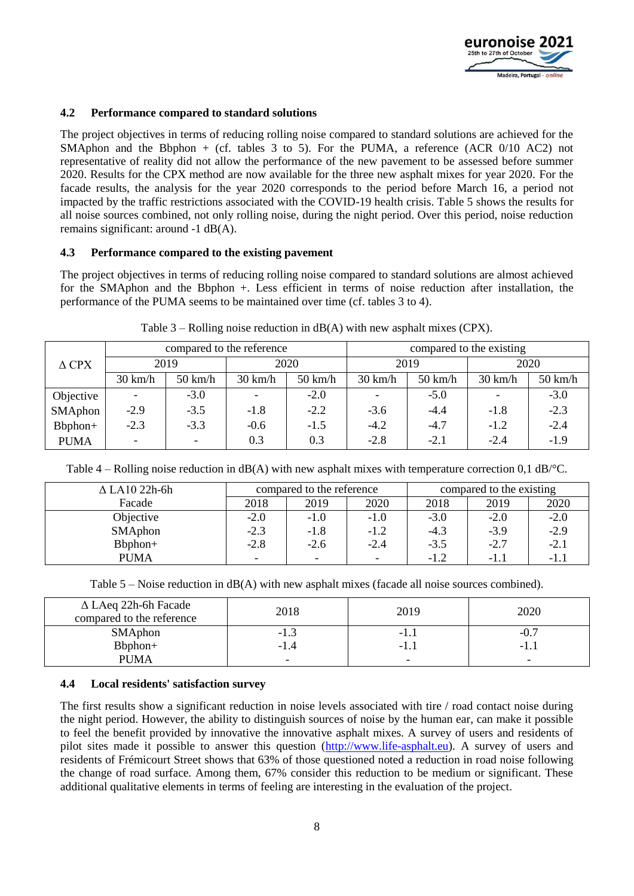

### **4.2 Performance compared to standard solutions**

The project objectives in terms of reducing rolling noise compared to standard solutions are achieved for the SMAphon and the Bbphon + (cf. tables 3 to 5). For the PUMA, a reference (ACR 0/10 AC2) not representative of reality did not allow the performance of the new pavement to be assessed before summer 2020. Results for the CPX method are now available for the three new asphalt mixes for year 2020. For the facade results, the analysis for the year 2020 corresponds to the period before March 16, a period not impacted by the traffic restrictions associated with the COVID-19 health crisis. Table 5 shows the results for all noise sources combined, not only rolling noise, during the night period. Over this period, noise reduction remains significant: around -1 dB(A).

### **4.3 Performance compared to the existing pavement**

The project objectives in terms of reducing rolling noise compared to standard solutions are almost achieved for the SMAphon and the Bbphon +. Less efficient in terms of noise reduction after installation, the performance of the PUMA seems to be maintained over time (cf. tables 3 to 4).

|                 | compared to the reference |                          |                   |                   | compared to the existing |                   |                   |                   |
|-----------------|---------------------------|--------------------------|-------------------|-------------------|--------------------------|-------------------|-------------------|-------------------|
| $\triangle$ CPX | 2019                      |                          | 2020              |                   | 2019                     |                   | 2020              |                   |
|                 | $30 \text{ km/h}$         | $50 \text{ km/h}$        | $30 \text{ km/h}$ | $50 \text{ km/h}$ | $30 \text{ km/h}$        | $50 \text{ km/h}$ | $30 \text{ km/h}$ | $50 \text{ km/h}$ |
| Objective       | $\overline{\phantom{a}}$  | $-3.0$                   |                   | $-2.0$            |                          | $-5.0$            |                   | $-3.0$            |
| SMAphon         | $-2.9$                    | $-3.5$                   | $-1.8$            | $-2.2$            | $-3.6$                   | $-4.4$            | $-1.8$            | $-2.3$            |
| Bbphon+         | $-2.3$                    | $-3.3$                   | $-0.6$            | $-1.5$            | $-4.2$                   | $-4.7$            | $-1.2$            | $-2.4$            |
| <b>PUMA</b>     | $\overline{\phantom{a}}$  | $\overline{\phantom{0}}$ | 0.3               | 0.3               | $-2.8$                   | $-2.1$            | $-2.4$            | $-1.9$            |

Table  $3$  – Rolling noise reduction in dB(A) with new asphalt mixes (CPX).

Table 4 – Rolling noise reduction in dB(A) with new asphalt mixes with temperature correction 0,1 dB/°C.

| $\Delta$ LA10 22h-6h | compared to the reference |                          | compared to the existing |        |        |        |
|----------------------|---------------------------|--------------------------|--------------------------|--------|--------|--------|
| Facade               | 2018                      | 2019                     | 2020                     | 2018   | 2019   | 2020   |
| Objective            | $-2.0$                    | $-1.0$                   | $-1.0$                   | $-3.0$ | $-2.0$ | $-2.0$ |
| SMAphon              | $-2.3$                    | $-1.8$                   | $-1.2$                   | $-4.3$ | $-3.9$ | $-2.9$ |
| Bbphon+              | $-2.8$                    | $-2.6$                   | $-2.4$                   | $-3.5$ | $-2.7$ | $-2.1$ |
| <b>PUMA</b>          |                           | $\overline{\phantom{0}}$ | ٠                        | $-1.2$ | $-1.1$ | $-1.1$ |

Table 5 – Noise reduction in dB(A) with new asphalt mixes (facade all noise sources combined).

| $\Delta$ LAeq 22h-6h Facade<br>compared to the reference | 2018                     | 2019   | 2020                     |
|----------------------------------------------------------|--------------------------|--------|--------------------------|
| SMAphon                                                  | $-1.$                    | $-1.1$ | $-0.$                    |
| Bbphon+                                                  | -1.4                     |        | $-1.1$                   |
| PUMA                                                     | $\overline{\phantom{0}}$ |        | $\overline{\phantom{0}}$ |

### **4.4 Local residents' satisfaction survey**

The first results show a significant reduction in noise levels associated with tire / road contact noise during the night period. However, the ability to distinguish sources of noise by the human ear, can make it possible to feel the benefit provided by innovative the innovative asphalt mixes. A survey of users and residents of pilot sites made it possible to answer this question [\(http://www.life-asphalt.eu\)](http://www.life-asphalt.eu/). A survey of users and residents of Frémicourt Street shows that 63% of those questioned noted a reduction in road noise following the change of road surface. Among them, 67% consider this reduction to be medium or significant. These additional qualitative elements in terms of feeling are interesting in the evaluation of the project.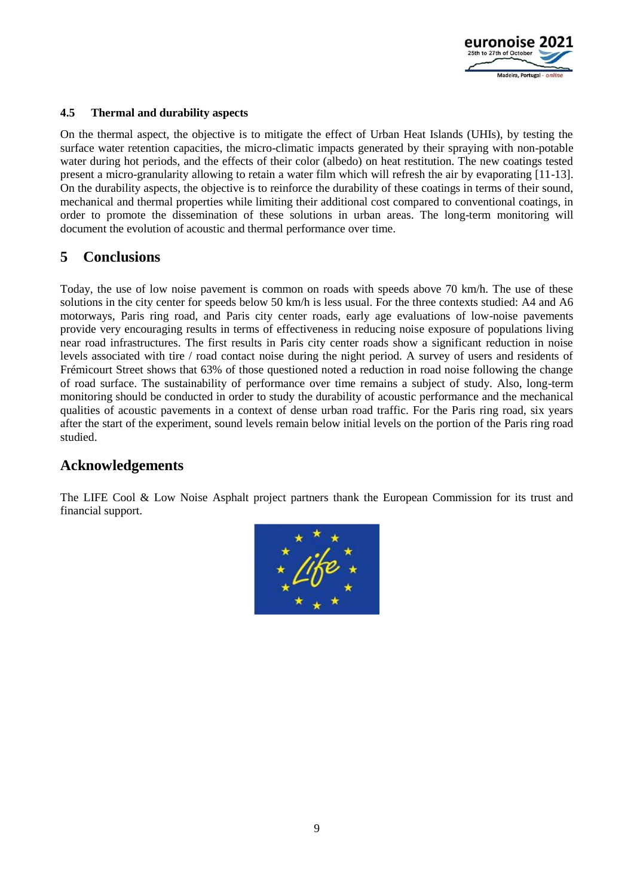

### **4.5 Thermal and durability aspects**

On the thermal aspect, the objective is to mitigate the effect of Urban Heat Islands (UHIs), by testing the surface water retention capacities, the micro-climatic impacts generated by their spraying with non-potable water during hot periods, and the effects of their color (albedo) on heat restitution. The new coatings tested present a micro-granularity allowing to retain a water film which will refresh the air by evaporating [11-13]. On the durability aspects, the objective is to reinforce the durability of these coatings in terms of their sound, mechanical and thermal properties while limiting their additional cost compared to conventional coatings, in order to promote the dissemination of these solutions in urban areas. The long-term monitoring will document the evolution of acoustic and thermal performance over time.

## **5 Conclusions**

Today, the use of low noise pavement is common on roads with speeds above 70 km/h. The use of these solutions in the city center for speeds below 50 km/h is less usual. For the three contexts studied: A4 and A6 motorways, Paris ring road, and Paris city center roads, early age evaluations of low-noise pavements provide very encouraging results in terms of effectiveness in reducing noise exposure of populations living near road infrastructures. The first results in Paris city center roads show a significant reduction in noise levels associated with tire / road contact noise during the night period. A survey of users and residents of Frémicourt Street shows that 63% of those questioned noted a reduction in road noise following the change of road surface. The sustainability of performance over time remains a subject of study. Also, long-term monitoring should be conducted in order to study the durability of acoustic performance and the mechanical qualities of acoustic pavements in a context of dense urban road traffic. For the Paris ring road, six years after the start of the experiment, sound levels remain below initial levels on the portion of the Paris ring road studied.

## **Acknowledgements**

The LIFE Cool & Low Noise Asphalt project partners thank the European Commission for its trust and financial support.